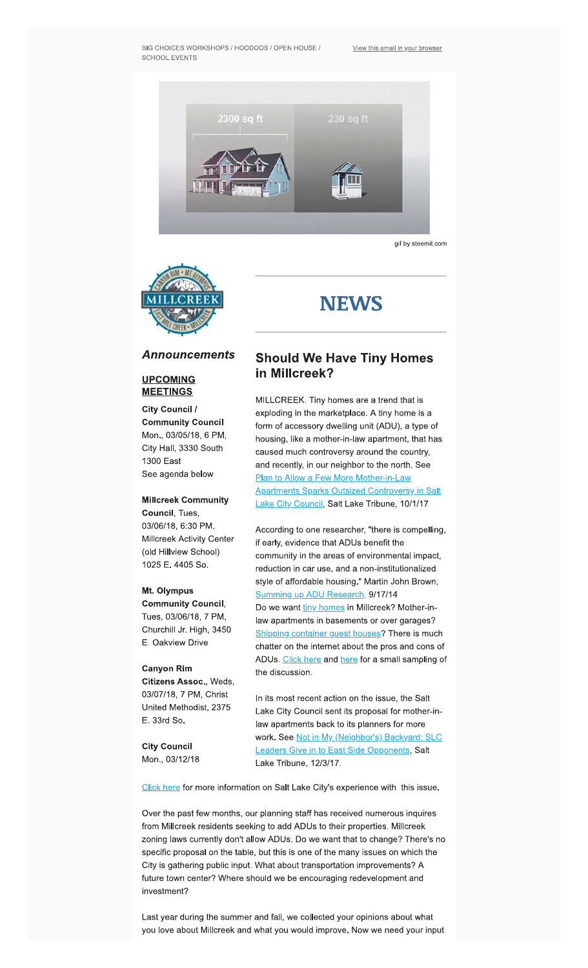

**gif by steemit.com** 



# **NEWS**

### **Announcements**

#### **UPCOMING MEETINGS**

**City Council / Community Council Mon., 03/05/18, 6 PM, City Hall, 3330 South 1300 East See agenda below** 

**Millcreek Community Council, Tues, 03/06/18, 6:30 PM, Millcreek Activity Center (old Hillview School) 1025 E. 4405 So.** 

#### **Mt. Olympus**

**Community Council, Tues, 03/06/18, 7 PM, Churchill Jr. High, 3450 E. Oakview Drive** 

#### **Canyon Rim**

**Citizens Assoc., Weds, 03/07/18, 7 PM, Christ United Methodist, 2375 E. 33rd So.** 

**City Council Mon., 03/12/18** 

## **Should We Have Tiny Homes in Millcreek?**

**MILLCREEK. Tiny homes are a trend that is exploding in the marketplace. A tiny home is a form of accessory dwelling unit (ADU), a type of housing, like a mother-in-law apartment, that has caused much controversy around the country, and recently, in our neighbor to the north. See Plan to Allow a Few More Mother-in-Law [Apartments Sparks Outsized Controversy in Salt](https://www.sltrib.com/news/politics/2017/10/01/plan-to-allow-a-few-more-mother-in-law-apartments-sparks-outsized-controversy-in-salt-lake-city-council/)**. **Lake City Council, Salt Lake Tribune, 10/1/17** 

**According to one researcher, "there is compelling, if early, evidence that ADUs benefit the community in the areas of environmental impact, reduction in car use, and a non-institutionalized style of affordable housing." Martin John Brown, [Summing up ADU Research.](https://accessorydwellings.org/2014/09/17/summing-up-adu-research-are-accessory-dwelling-units-as-great-or-as-horrible-as-people-say/) 9/17/14 Do we want [tiny homes](https://www.washingtonpost.com/lifestyle/magazine/tiny-house-big-benefitsfreedom-from-a-mortgage--and-stuff/2015/06/23/f8f706f0-0acc-11e5-9e39-0db921c47b93_story.html?utm_term=.8d802707aa38) in Millcreek? Mother-inlaw apartments in basements or over garages? Shipping container guest houses? There is much chatter on the intemet about the pros and cons of ADUs. [Click here](http://www.startribune.com/granny-flats-a-housing-fix-or-step-toward-urban-blight/255885841/) and [lerc](https://www.austinchronicle.com/news/2014-06-20/then-theres-this-split-views-on-adus/) for a small sampling of the discussion.** 

**In its most recent action on the issue, the Salt Lake City Council sent its proposal for mother-inlaw apartments back to its planners for more work. See Not in My (Neighbor's) Backyard: SLC [Leaders Give in to East Side Opponents, Salt](https://www.sltrib.com/news/politics/2017/12/03/not-in-my-neighbors-backyard-salt-lake-city-leaders-give-in-to-east-sides-opponents-on-mother-in-law-apartments/)  Lake Tribune, 1213117.** 

**Click here** for more information on Salt Lake City's experience with this issue.

**Over the past few months, our planning staff has received numerous inquires from Millcreek residents seeking to add ADUs to their properties. Millcreek zoning laws currently don't allow ADUs. Do we want that to change? There's no specific proposal on the table, but this is one of the many issues on which the City is gathering public input. What about transportation improvements? A future town center? Where should we be encouraging redevelopment and investment?** 

**Last year during the summer and fall, we collected your opinions about what you love about Millcreek and what you would improve. Now we need your input**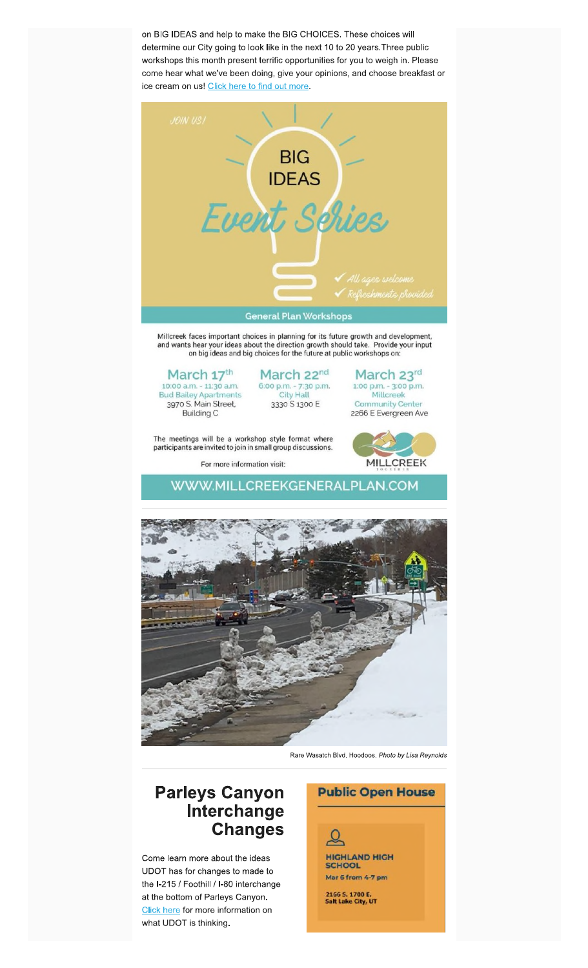**on BIG IDEAS and help to make the BIG CHOICES. These choices will determine our City going to look like in the next 10 to 20 years.Three public workshops this month present terrific opportunities for you to weigh in. Please come hear what we've been doing, give your opinions, and choose breakfast or ice cream on usl [Click here to find out more.](https://millcreekgeneralplan.com/events)** 



Millcreek faces important choices in planning for its future growth and development, and wants hear your ideas about the direction growth should take. Provide your input on big ideas and big choices for the future at public workshops on:

## March 17<sup>th</sup> March 22<sup>nd</sup> March 23<sup>rd</sup> Dioo a.m. - 11:30 a.m. 6:00 p.m. - 7:30 p.m. 1:00 p.m. - 3:00 p.m. d Bailey Apartments City Hall 10:00 a.m. - 11:30 a.m. 6:00 p.m. - 7:30 p.m. 1:00 p.m. - 3:00 p.m. Bud Bailey Apartments City Hall Millcreek

3970 S. Main Street.<br>Building C 3330 S 1300 E Community Center<br>2266 E Evergreen Av 2266 E Evergreen Ave

The meetings will be a workshop style format where participants are invited to join in small group discussions.

For more information visit:



**[WWW.MILLCREEKGENERALPLAN.COM](https://millcreekgeneralplan.com/events)** 



Rare Wasatch Blvd. Hoodoos. Photo by Lisa Reynolds

# **Parleys Canyon Interchange Changes**

**Come learn more about the ideas UDOT has for changes to made to**  the I-215 / Foothill / I-80 interchange **at the bottom of Parleys Canyon. Click here** for more information on **what UDOT is thinking.** 

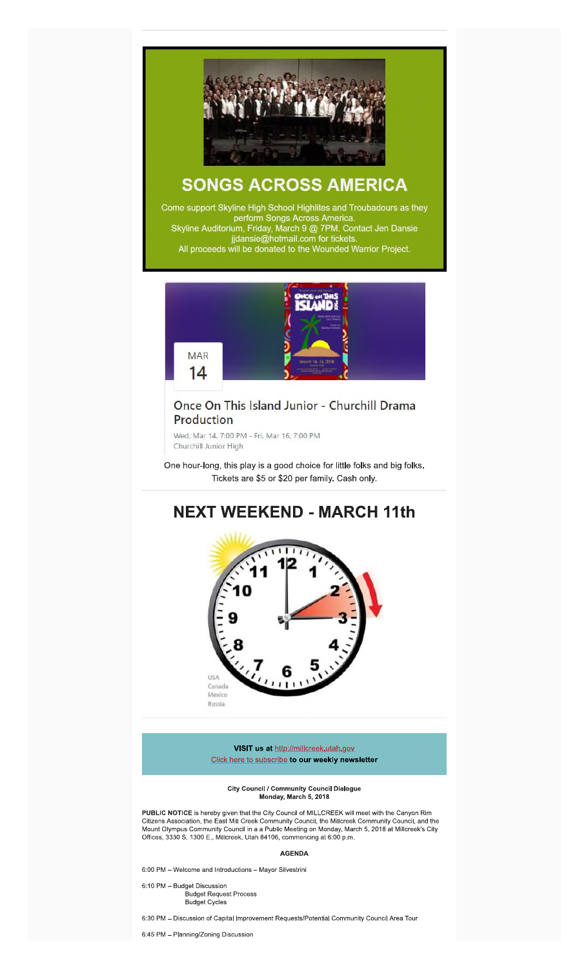

# **SONGS ACROSS AMERICA**

Come support Skyline High School Highlites and Troubadours as they perform Songs Across America. Skyline Auditorium, Friday, March 9 @ 7PM. Contact Jen Dansie jjdansie@hotmail.com for tickets. All proceeds will be donated to the Wounded Warrior Project.



## Once On This Island Junior - Churchill Drama Production

Wed, Mar 14, 7:00 PM - Fri, Mar 16, 7:00 PM Churchill Junior High

**One hour-long, this play is a good choice for lithe folks and big folks. Tickets are \$5 or \$20 per family. Cash only.** 

# **NEXT WEEKEND - MARCH 11th**



**VISIT us at** http://millcreek,utah.gov **Click here to subscribe to our weekly newsletter** 

**City Council / Community Council Dialogue Monday, March 5, 2011** 

**PUBLIC NOTICE** is hereby given that the City Council of MILLCREEK will meet with the Canyon Rim Citizens Association, the East Mill Creek Community Council, the Milicreek Community Council, and the Mount Olympus Community Council In a a Public Meeting on Monday, March 5, 2018 at Millcreek's City Offices, 3330 S\_ 1300 E., Mlllcreek, Utah 84106, commencing at **6:00 p.m.** 

#### **AGENDA**

6:00 PM — Welcome and introductions — Mayor Sifvestrini

6:10 PM — Budget Discussion Budget Request Process Budget Cycles

6:30 PM — Discussion of Capital Improvement Requests/Potential Community Council Area Tour

6:45 PM — Planning/Zoning Discussion